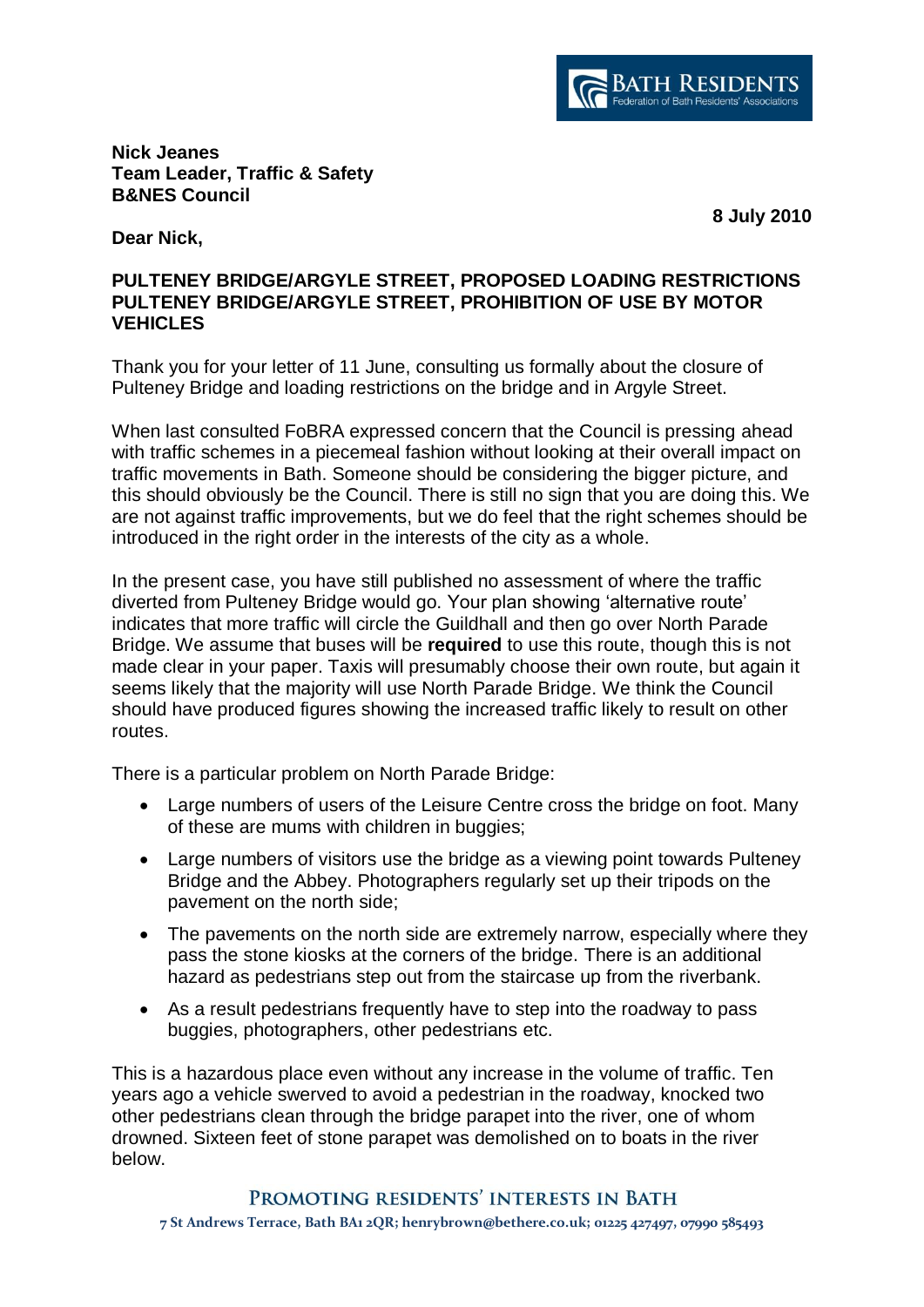

**Nick Jeanes Team Leader, Traffic & Safety B&NES Council**

**8 July 2010**

**Dear Nick,** 

## **PULTENEY BRIDGE/ARGYLE STREET, PROPOSED LOADING RESTRICTIONS PULTENEY BRIDGE/ARGYLE STREET, PROHIBITION OF USE BY MOTOR VEHICLES**

Thank you for your letter of 11 June, consulting us formally about the closure of Pulteney Bridge and loading restrictions on the bridge and in Argyle Street.

When last consulted FoBRA expressed concern that the Council is pressing ahead with traffic schemes in a piecemeal fashion without looking at their overall impact on traffic movements in Bath. Someone should be considering the bigger picture, and this should obviously be the Council. There is still no sign that you are doing this. We are not against traffic improvements, but we do feel that the right schemes should be introduced in the right order in the interests of the city as a whole.

In the present case, you have still published no assessment of where the traffic diverted from Pulteney Bridge would go. Your plan showing 'alternative route' indicates that more traffic will circle the Guildhall and then go over North Parade Bridge. We assume that buses will be **required** to use this route, though this is not made clear in your paper. Taxis will presumably choose their own route, but again it seems likely that the majority will use North Parade Bridge. We think the Council should have produced figures showing the increased traffic likely to result on other routes.

There is a particular problem on North Parade Bridge:

- Large numbers of users of the Leisure Centre cross the bridge on foot. Many of these are mums with children in buggies;
- Large numbers of visitors use the bridge as a viewing point towards Pulteney Bridge and the Abbey. Photographers regularly set up their tripods on the pavement on the north side;
- The pavements on the north side are extremely narrow, especially where they pass the stone kiosks at the corners of the bridge. There is an additional hazard as pedestrians step out from the staircase up from the riverbank.
- As a result pedestrians frequently have to step into the roadway to pass buggies, photographers, other pedestrians etc.

This is a hazardous place even without any increase in the volume of traffic. Ten years ago a vehicle swerved to avoid a pedestrian in the roadway, knocked two other pedestrians clean through the bridge parapet into the river, one of whom drowned. Sixteen feet of stone parapet was demolished on to boats in the river below.

## PROMOTING RESIDENTS' INTERESTS IN BATH

**7 St Andrews Terrace, Bath BA1 2QR; henrybrown@bethere.co.uk; 01225 427497, 07990 585493**